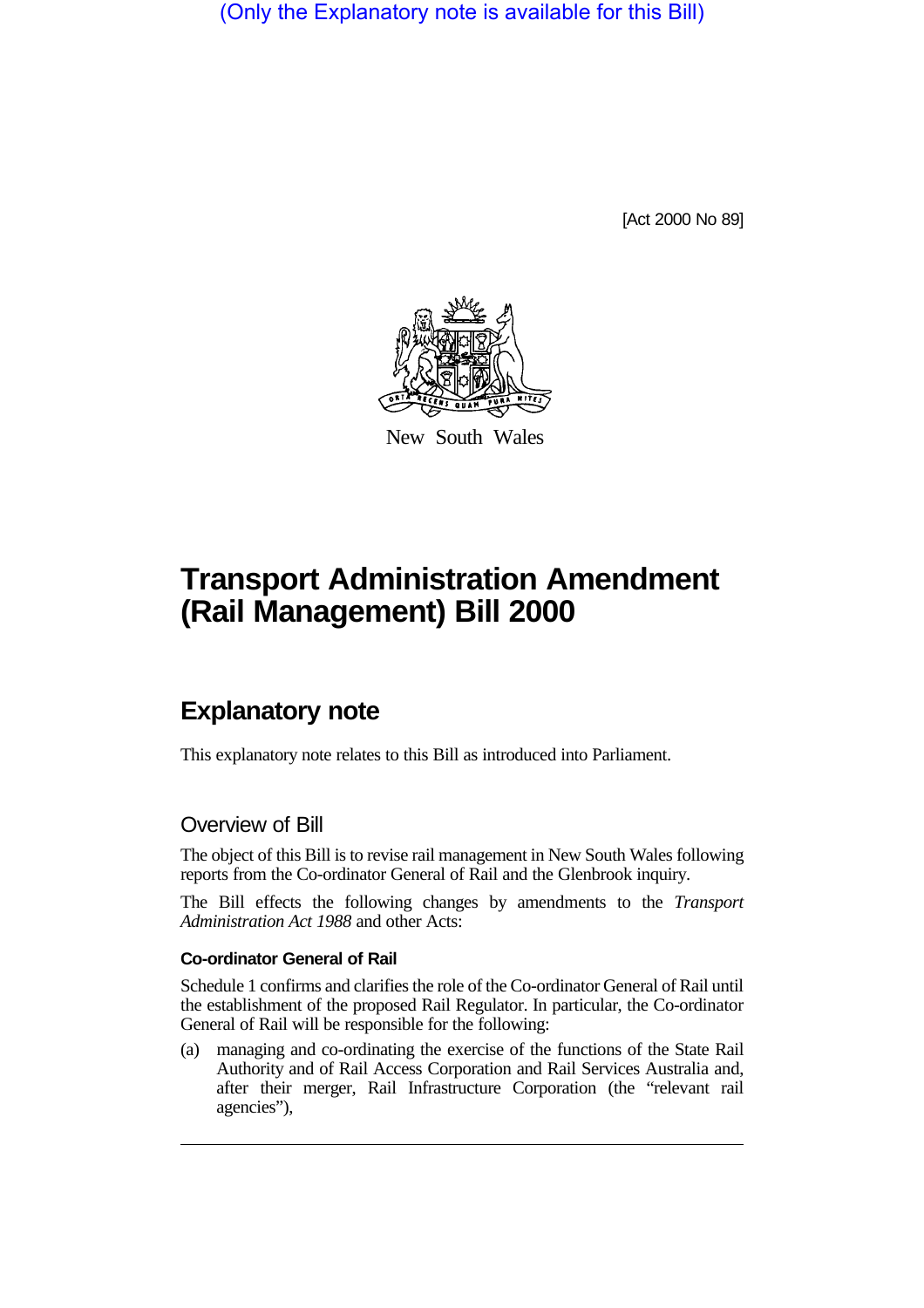(Only the Explanatory note is available for this Bill)

[Act 2000 No 89]



New South Wales

# **Transport Administration Amendment (Rail Management) Bill 2000**

## **Explanatory note**

This explanatory note relates to this Bill as introduced into Parliament.

### Overview of Bill

The object of this Bill is to revise rail management in New South Wales following reports from the Co-ordinator General of Rail and the Glenbrook inquiry.

The Bill effects the following changes by amendments to the *Transport Administration Act 1988* and other Acts:

#### **Co-ordinator General of Rail**

Schedule 1 confirms and clarifies the role of the Co-ordinator General of Rail until the establishment of the proposed Rail Regulator. In particular, the Co-ordinator General of Rail will be responsible for the following:

(a) managing and co-ordinating the exercise of the functions of the State Rail Authority and of Rail Access Corporation and Rail Services Australia and, after their merger, Rail Infrastructure Corporation (the "relevant rail agencies"),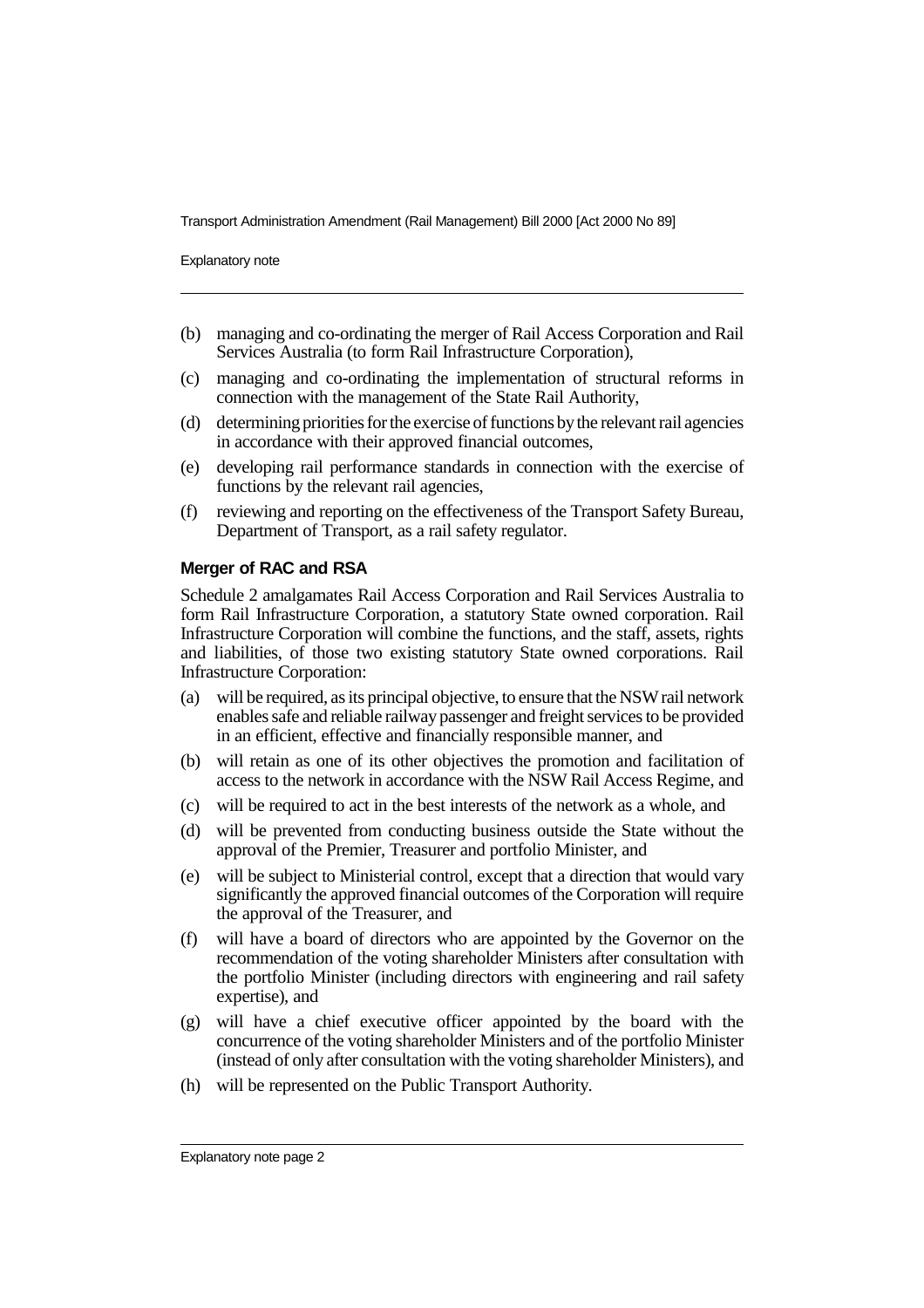Transport Administration Amendment (Rail Management) Bill 2000 [Act 2000 No 89]

Explanatory note

- (b) managing and co-ordinating the merger of Rail Access Corporation and Rail Services Australia (to form Rail Infrastructure Corporation),
- (c) managing and co-ordinating the implementation of structural reforms in connection with the management of the State Rail Authority,
- (d) determining priorities for the exercise of functions by the relevant rail agencies in accordance with their approved financial outcomes,
- (e) developing rail performance standards in connection with the exercise of functions by the relevant rail agencies,
- (f) reviewing and reporting on the effectiveness of the Transport Safety Bureau, Department of Transport, as a rail safety regulator.

#### **Merger of RAC and RSA**

Schedule 2 amalgamates Rail Access Corporation and Rail Services Australia to form Rail Infrastructure Corporation, a statutory State owned corporation. Rail Infrastructure Corporation will combine the functions, and the staff, assets, rights and liabilities, of those two existing statutory State owned corporations. Rail Infrastructure Corporation:

- (a) will be required, as its principal objective, to ensure that the NSW rail network enables safe and reliable railway passenger and freight services to be provided in an efficient, effective and financially responsible manner, and
- (b) will retain as one of its other objectives the promotion and facilitation of access to the network in accordance with the NSW Rail Access Regime, and
- (c) will be required to act in the best interests of the network as a whole, and
- (d) will be prevented from conducting business outside the State without the approval of the Premier, Treasurer and portfolio Minister, and
- (e) will be subject to Ministerial control, except that a direction that would vary significantly the approved financial outcomes of the Corporation will require the approval of the Treasurer, and
- (f) will have a board of directors who are appointed by the Governor on the recommendation of the voting shareholder Ministers after consultation with the portfolio Minister (including directors with engineering and rail safety expertise), and
- (g) will have a chief executive officer appointed by the board with the concurrence of the voting shareholder Ministers and of the portfolio Minister (instead of only after consultation with the voting shareholder Ministers), and
- (h) will be represented on the Public Transport Authority.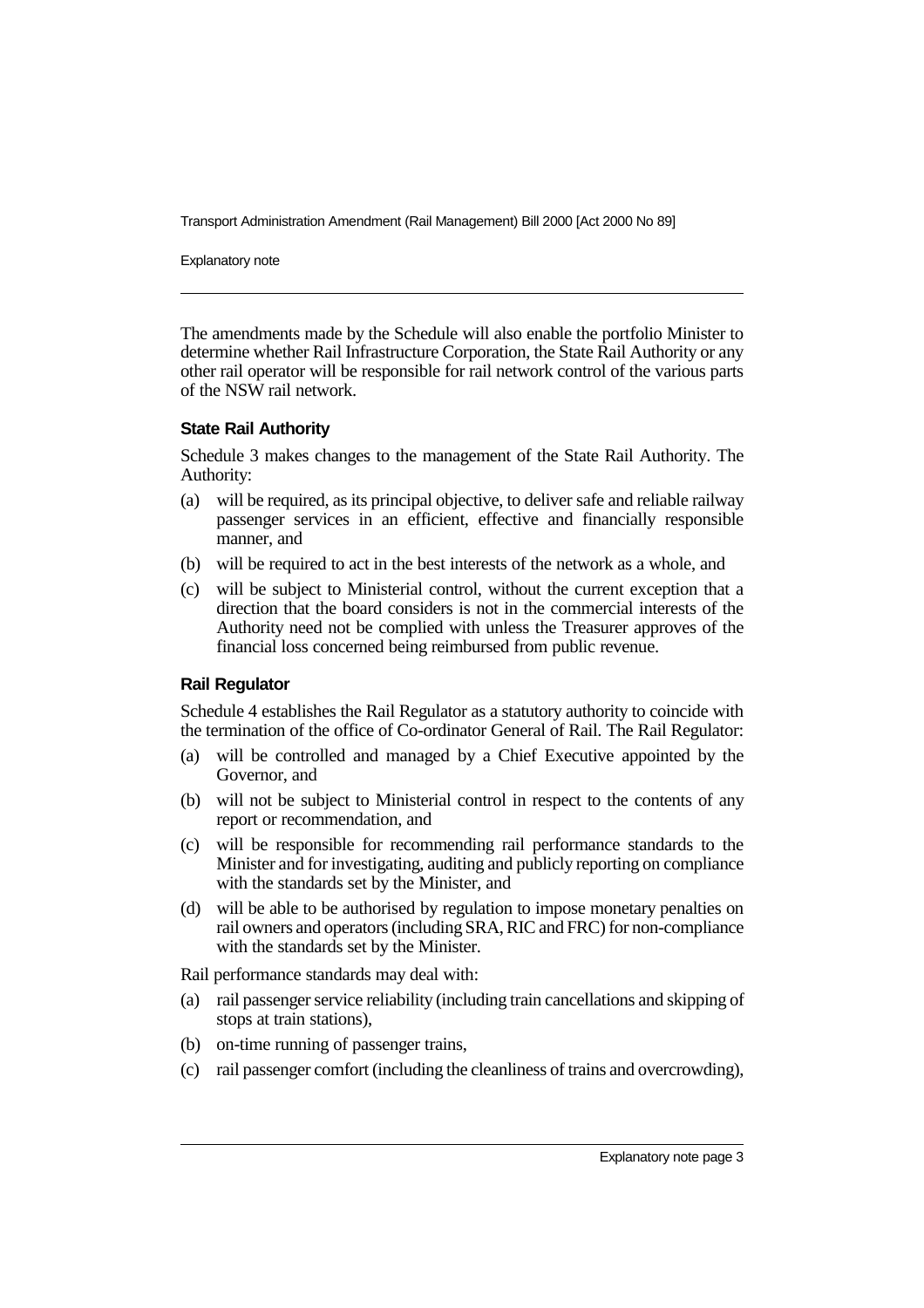Transport Administration Amendment (Rail Management) Bill 2000 [Act 2000 No 89]

Explanatory note

The amendments made by the Schedule will also enable the portfolio Minister to determine whether Rail Infrastructure Corporation, the State Rail Authority or any other rail operator will be responsible for rail network control of the various parts of the NSW rail network.

#### **State Rail Authority**

Schedule 3 makes changes to the management of the State Rail Authority. The Authority:

- (a) will be required, as its principal objective, to deliver safe and reliable railway passenger services in an efficient, effective and financially responsible manner, and
- (b) will be required to act in the best interests of the network as a whole, and
- (c) will be subject to Ministerial control, without the current exception that a direction that the board considers is not in the commercial interests of the Authority need not be complied with unless the Treasurer approves of the financial loss concerned being reimbursed from public revenue.

#### **Rail Regulator**

Schedule 4 establishes the Rail Regulator as a statutory authority to coincide with the termination of the office of Co-ordinator General of Rail. The Rail Regulator:

- (a) will be controlled and managed by a Chief Executive appointed by the Governor, and
- (b) will not be subject to Ministerial control in respect to the contents of any report or recommendation, and
- (c) will be responsible for recommending rail performance standards to the Minister and for investigating, auditing and publicly reporting on compliance with the standards set by the Minister, and
- (d) will be able to be authorised by regulation to impose monetary penalties on rail owners and operators (including SRA, RIC and FRC) for non-compliance with the standards set by the Minister.

Rail performance standards may deal with:

- (a) rail passenger service reliability (including train cancellations and skipping of stops at train stations),
- (b) on-time running of passenger trains,
- (c) rail passenger comfort (including the cleanliness of trains and overcrowding),